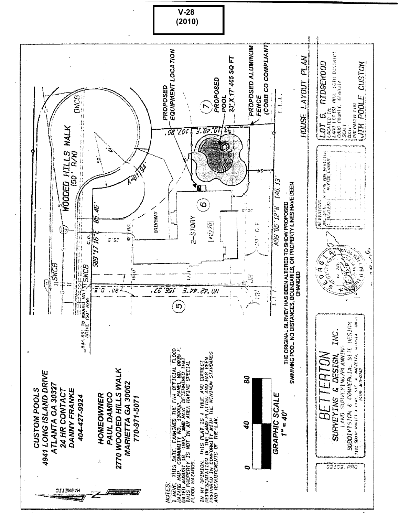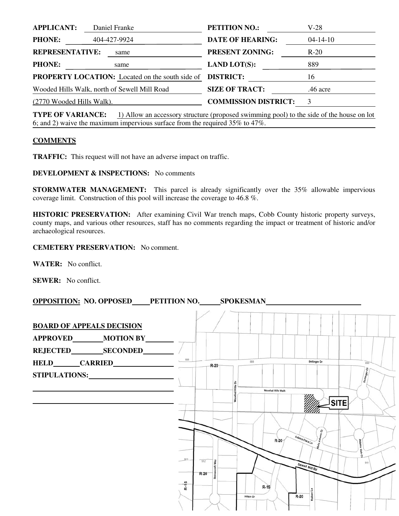| <b>APPLICANT:</b>         | Daniel Franke                                          | <b>PETITION NO.:</b>        | V-28           |
|---------------------------|--------------------------------------------------------|-----------------------------|----------------|
| <b>PHONE:</b>             | 404-427-9924                                           | <b>DATE OF HEARING:</b>     | $04 - 14 - 10$ |
| <b>REPRESENTATIVE:</b>    | same                                                   | <b>PRESENT ZONING:</b>      | $R-20$         |
| <b>PHONE:</b>             | same                                                   | <b>LAND LOT(S):</b>         | 889            |
|                           | <b>PROPERTY LOCATION:</b> Located on the south side of | <b>DISTRICT:</b>            | 16             |
|                           | Wooded Hills Walk, north of Sewell Mill Road           | <b>SIZE OF TRACT:</b>       | .46 acre       |
| (2770 Wooded Hills Walk). |                                                        | <b>COMMISSION DISTRICT:</b> | 3              |
|                           |                                                        |                             |                |

**TYPE OF VARIANCE:** 1) Allow an accessory structure (proposed swimming pool) to the side of the house on lot 6; and 2) waive the maximum impervious surface from the required 35% to 47%.

## **COMMENTS**

**TRAFFIC:** This request will not have an adverse impact on traffic.

**DEVELOPMENT & INSPECTIONS:** No comments

**STORMWATER MANAGEMENT:** This parcel is already significantly over the 35% allowable impervious coverage limit. Construction of this pool will increase the coverage to 46.8 %.

**HISTORIC PRESERVATION:** After examining Civil War trench maps, Cobb County historic property surveys, county maps, and various other resources, staff has no comments regarding the impact or treatment of historic and/or archaeological resources.

**CEMETERY PRESERVATION:** No comment.

**WATER:** No conflict.

**SEWER:** No conflict.

**OPPOSITION: NO. OPPOSED\_\_\_\_PETITION NO.\_\_\_\_\_\_\_ SPOKESMAN** 

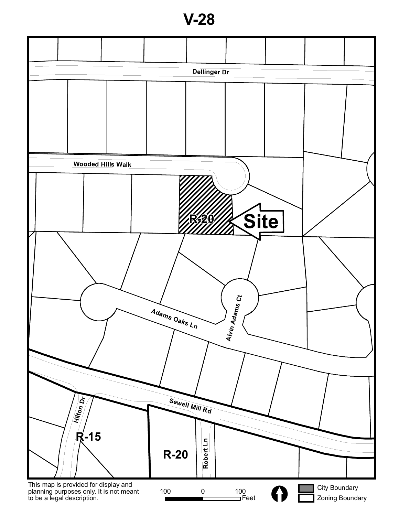**V-28**